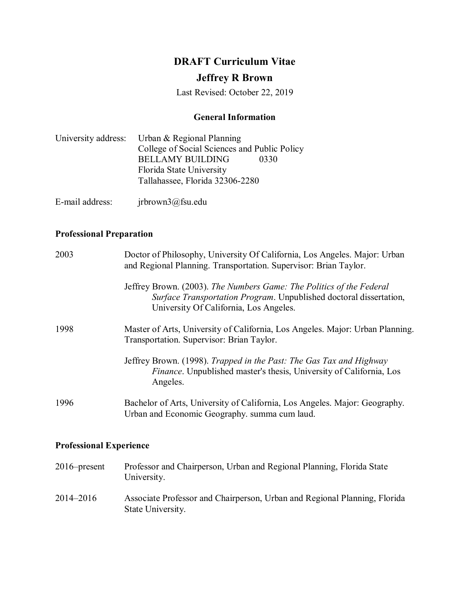# **DRAFT Curriculum Vitae**

## **Jeffrey R Brown**

Last Revised: October 22, 2019

## **General Information**

|  | University address: Urban & Regional Planning |      |
|--|-----------------------------------------------|------|
|  | College of Social Sciences and Public Policy  |      |
|  | <b>BELLAMY BUILDING</b>                       | 0330 |
|  | Florida State University                      |      |
|  | Tallahassee, Florida 32306-2280               |      |
|  |                                               |      |

E-mail address: jrbrown3@fsu.edu

## **Professional Preparation**

| 2003                           | Doctor of Philosophy, University Of California, Los Angeles. Major: Urban<br>and Regional Planning. Transportation. Supervisor: Brian Taylor.                                        |
|--------------------------------|--------------------------------------------------------------------------------------------------------------------------------------------------------------------------------------|
|                                | Jeffrey Brown. (2003). The Numbers Game: The Politics of the Federal<br>Surface Transportation Program. Unpublished doctoral dissertation,<br>University Of California, Los Angeles. |
| 1998                           | Master of Arts, University of California, Los Angeles. Major: Urban Planning.<br>Transportation. Supervisor: Brian Taylor.                                                           |
|                                | Jeffrey Brown. (1998). Trapped in the Past: The Gas Tax and Highway<br><i>Finance</i> . Unpublished master's thesis, University of California, Los<br>Angeles.                       |
| 1996                           | Bachelor of Arts, University of California, Los Angeles. Major: Geography.<br>Urban and Economic Geography. summa cum laud.                                                          |
| <b>Professional Experience</b> |                                                                                                                                                                                      |

| $2016$ -present | Professor and Chairperson, Urban and Regional Planning, Florida State<br>University.           |
|-----------------|------------------------------------------------------------------------------------------------|
| 2014–2016       | Associate Professor and Chairperson, Urban and Regional Planning, Florida<br>State University. |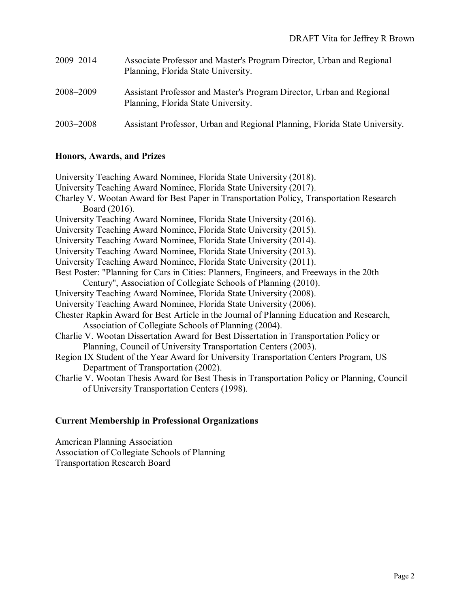| 2009-2014 | Associate Professor and Master's Program Director, Urban and Regional<br>Planning, Florida State University. |
|-----------|--------------------------------------------------------------------------------------------------------------|
| 2008-2009 | Assistant Professor and Master's Program Director, Urban and Regional<br>Planning, Florida State University. |
| 2003–2008 | Assistant Professor, Urban and Regional Planning, Florida State University.                                  |

### **Honors, Awards, and Prizes**

## **Current Membership in Professional Organizations**

American Planning Association Association of Collegiate Schools of Planning Transportation Research Board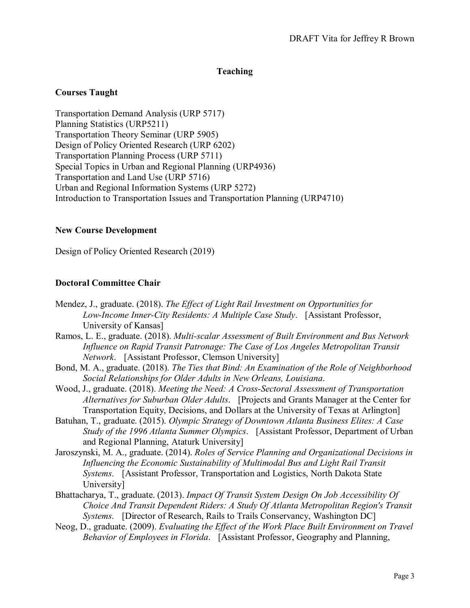#### **Teaching**

#### **Courses Taught**

Transportation Demand Analysis (URP 5717) Planning Statistics (URP5211) Transportation Theory Seminar (URP 5905) Design of Policy Oriented Research (URP 6202) Transportation Planning Process (URP 5711) Special Topics in Urban and Regional Planning (URP4936) Transportation and Land Use (URP 5716) Urban and Regional Information Systems (URP 5272) Introduction to Transportation Issues and Transportation Planning (URP4710)

#### **New Course Development**

Design of Policy Oriented Research (2019)

#### **Doctoral Committee Chair**

- Mendez, J., graduate. (2018). *The Effect of Light Rail Investment on Opportunities for Low-Income Inner-City Residents: A Multiple Case Study*. [Assistant Professor, University of Kansas]
- Ramos, L. E., graduate. (2018). *Multi-scalar Assessment of Built Environment and Bus Network Influence on Rapid Transit Patronage: The Case of Los Angeles Metropolitan Transit Network*. [Assistant Professor, Clemson University]
- Bond, M. A., graduate. (2018). *The Ties that Bind: An Examination of the Role of Neighborhood Social Relationships for Older Adults in New Orleans, Louisiana*.
- Wood, J., graduate. (2018). *Meeting the Need: A Cross-Sectoral Assessment of Transportation Alternatives for Suburban Older Adults*. [Projects and Grants Manager at the Center for Transportation Equity, Decisions, and Dollars at the University of Texas at Arlington]
- Batuhan, T., graduate. (2015). *Olympic Strategy of Downtown Atlanta Business Elites: A Case Study of the 1996 Atlanta Summer Olympics*. [Assistant Professor, Department of Urban and Regional Planning, Ataturk University]
- Jaroszynski, M. A., graduate. (2014). *Roles of Service Planning and Organizational Decisions in Influencing the Economic Sustainability of Multimodal Bus and Light Rail Transit Systems*. [Assistant Professor, Transportation and Logistics, North Dakota State University]
- Bhattacharya, T., graduate. (2013). *Impact Of Transit System Design On Job Accessibility Of Choice And Transit Dependent Riders: A Study Of Atlanta Metropolitan Region's Transit Systems*. [Director of Research, Rails to Trails Conservancy, Washington DC]
- Neog, D., graduate. (2009). *Evaluating the Effect of the Work Place Built Environment on Travel Behavior of Employees in Florida*. [Assistant Professor, Geography and Planning,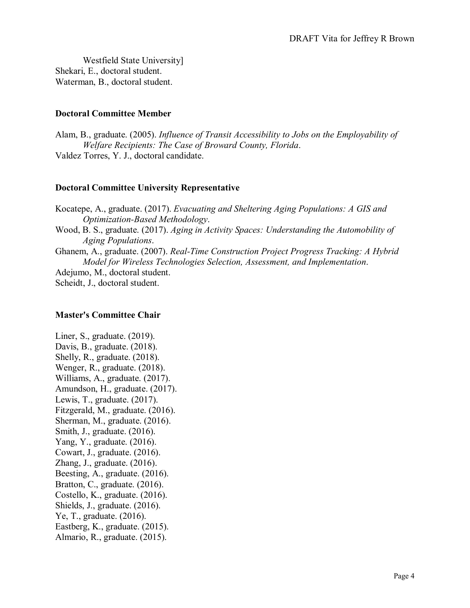Westfield State University] Shekari, E., doctoral student. Waterman, B., doctoral student.

#### **Doctoral Committee Member**

Alam, B., graduate. (2005). *Influence of Transit Accessibility to Jobs on the Employability of Welfare Recipients: The Case of Broward County, Florida*. Valdez Torres, Y. J., doctoral candidate.

#### **Doctoral Committee University Representative**

Kocatepe, A., graduate. (2017). *Evacuating and Sheltering Aging Populations: A GIS and Optimization-Based Methodology*. Wood, B. S., graduate. (2017). *Aging in Activity Spaces: Understanding the Automobility of Aging Populations*. Ghanem, A., graduate. (2007). *Real-Time Construction Project Progress Tracking: A Hybrid Model for Wireless Technologies Selection, Assessment, and Implementation*. Adejumo, M., doctoral student.

Scheidt, J., doctoral student.

#### **Master's Committee Chair**

Liner, S., graduate. (2019). Davis, B., graduate. (2018). Shelly, R., graduate. (2018). Wenger, R., graduate. (2018). Williams, A., graduate. (2017). Amundson, H., graduate. (2017). Lewis, T., graduate. (2017). Fitzgerald, M., graduate. (2016). Sherman, M., graduate. (2016). Smith, J., graduate. (2016). Yang, Y., graduate. (2016). Cowart, J., graduate. (2016). Zhang, J., graduate. (2016). Beesting, A., graduate. (2016). Bratton, C., graduate. (2016). Costello, K., graduate. (2016). Shields, J., graduate. (2016). Ye, T., graduate. (2016). Eastberg, K., graduate. (2015). Almario, R., graduate. (2015).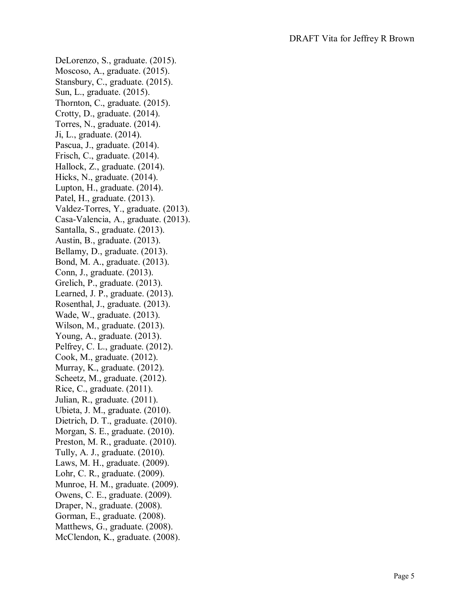DeLorenzo, S., graduate. (2015). Moscoso, A., graduate. (2015). Stansbury, C., graduate. (2015). Sun, L., graduate. (2015). Thornton, C., graduate. (2015). Crotty, D., graduate. (2014). Torres, N., graduate. (2014). Ji, L., graduate. (2014). Pascua, J., graduate. (2014). Frisch, C., graduate. (2014). Hallock, Z., graduate. (2014). Hicks, N., graduate. (2014). Lupton, H., graduate. (2014). Patel, H., graduate. (2013). Valdez -Torres, Y., graduate. (2013). Casa -Valencia, A., graduate. (2013). Santalla, S., graduate. (2013). Austin, B., graduate. (2013). Bellamy, D., graduate. (2013). Bond, M. A., graduate. (2013). Conn, J., graduate. (2013). Grelich, P., graduate. (2013). Learned, J. P., graduate. (2013). Rosenthal, J., graduate. (2013). Wade, W., graduate. (2013). Wilson, M., graduate. (2013). Young, A., graduate. (2013). Pelfrey, C. L., graduate. (2012). Cook, M., graduate. (2012). Murray, K., graduate. (2012). Scheetz, M., graduate. (2012). Rice, C., graduate. (2011). Julian, R., graduate. (2011). Ubieta, J. M., graduate. (2010). Dietrich, D. T., graduate. (2010). Morgan, S. E., graduate. (2010). Preston, M. R., graduate. (2010). Tully, A. J., graduate. (2010). Laws, M. H., graduate. (2009). Lohr, C. R., graduate. (2009). Munroe, H. M., graduate. (2009). Owens, C. E., graduate. (2009). Draper, N., graduate. (2008). Gorman, E., graduate. (2008). Matthews, G., graduate. (2008). McClendon, K., graduate. (2008).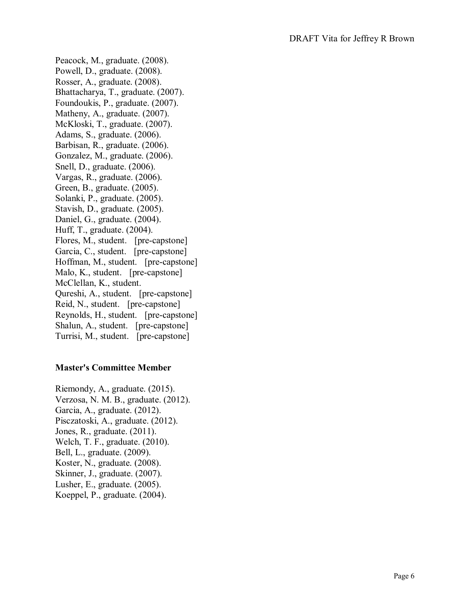Peacock, M., graduate. (2008). Powell, D., graduate. (2008). Rosser, A., graduate. (2008). Bhattacharya, T., graduate. (2007). Foundoukis, P., graduate. (2007). Matheny, A., graduate. (2007). McKloski, T., graduate. (2007). Adams, S., graduate. (2006). Barbisan, R., graduate. (2006). Gonzalez, M., graduate. (2006). Snell, D., graduate. (2006). Vargas, R., graduate. (2006). Green, B., graduate. (2005). Solanki, P., graduate. (2005). Stavish, D., graduate. (2005). Daniel, G., graduate. (2004). Huff, T., graduate. (2004). Flores, M., student. [pre-capstone] Garcia, C., student. [pre-capstone] Hoffman, M., student. [pre-capstone] Malo, K., student. [pre-capstone] McClellan, K., student. Qureshi, A., student. [pre-capstone] Reid, N., student. [pre-capstone] Reynolds, H., student. [pre-capstone] Shalun, A., student. [pre-capstone] Turrisi, M., student. [pre-capstone]

#### **Master's Committee Member**

Riemondy, A., graduate. (2015). Verzosa, N. M. B., graduate. (2012). Garcia, A., graduate. (2012). Pisczatoski, A., graduate. (2012). Jones, R., graduate. (2011). Welch, T. F., graduate. (2010). Bell, L., graduate. (2009). Koster, N., graduate. (2008). Skinner, J., graduate. (2007). Lusher, E., graduate. (2005). Koeppel, P., graduate. (2004).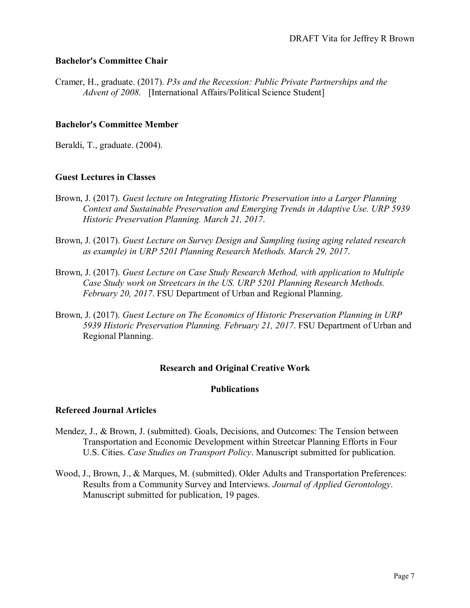#### **Bachelor's Committee Chair**

Cramer, H., graduate. (2017). *P3s and the Recession: Public Private Partnerships and the Advent of 2008*. [International Affairs/Political Science Student]

#### **Bachelor's Committee Member**

Beraldi, T., graduate. (2004).

#### **Guest Lectures in Classes**

- Brown, J. (2017). *Guest lecture on Integrating Historic Preservation into a Larger Planning Context and Sustainable Preservation and Emerging Trends in Adaptive Use. URP 5939 Historic Preservation Planning. March 21, 2017*.
- Brown, J. (2017). *Guest Lecture on Survey Design and Sampling (using aging related research as example) in URP 5201 Planning Research Methods. March 29, 2017*.
- Brown, J. (2017). *Guest Lecture on Case Study Research Method, with application to Multiple Case Study work on Streetcars in the US. URP 5201 Planning Research Methods. February 20, 2017*. FSU Department of Urban and Regional Planning.
- Brown, J. (2017). *Guest Lecture on The Economics of Historic Preservation Planning in URP 5939 Historic Preservation Planning. February 21, 2017*. FSU Department of Urban and Regional Planning.

#### **Research and Original Creative Work**

#### **Publications**

#### **Refereed Journal Articles**

- Mendez, J., & Brown, J. (submitted). Goals, Decisions, and Outcomes: The Tension between Transportation and Economic Development within Streetcar Planning Efforts in Four U.S. Cities. *Case Studies on Transport Policy*. Manuscript submitted for publication.
- Wood, J., Brown, J., & Marques, M. (submitted). Older Adults and Transportation Preferences: Results from a Community Survey and Interviews. *Journal of Applied Gerontology*. Manuscript submitted for publication, 19 pages.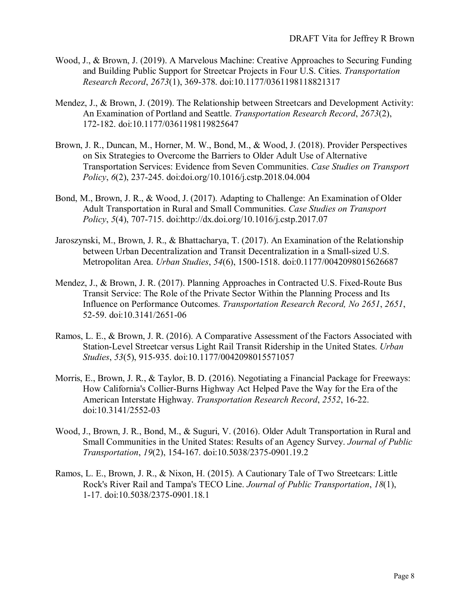- Wood, J., & Brown, J. (2019). A Marvelous Machine: Creative Approaches to Securing Funding and Building Public Support for Streetcar Projects in Four U.S. Cities. *Transportation Research Record*, *2673*(1), 369-378. doi[:10.1177/0361198118821317](http://dx.doi.org/10.1177/0361198118821317)
- Mendez, J., & Brown, J. (2019). The Relationship between Streetcars and Development Activity: An Examination of Portland and Seattle. *Transportation Research Record*, *2673*(2), 172-182. doi[:10.1177/0361198119825647](http://dx.doi.org/10.1177/0361198119825647)
- Brown, J. R., Duncan, M., Horner, M. W., Bond, M., & Wood, J. (2018). Provider Perspectives on Six Strategies to Overcome the Barriers to Older Adult Use of Alternative Transportation Services: Evidence from Seven Communities. *Case Studies on Transport Policy*, *6*(2), 237-245. doi[:doi.org/10.1016/j.cstp.2018.04.004](http://dx.doi.org/doi.org/10.1016/j.cstp.2018.04.004)
- Bond, M., Brown, J. R., & Wood, J. (2017). Adapting to Challenge: An Examination of Older Adult Transportation in Rural and Small Communities. *Case Studies on Transport Policy*, *5*(4), 707-715. doi:http://dx.doi.org/10.1016/j.cstp.2017.07
- Jaroszynski, M., Brown, J. R., & Bhattacharya, T. (2017). An Examination of the Relationship between Urban Decentralization and Transit Decentralization in a Small-sized U.S. Metropolitan Area. *Urban Studies*, *54*(6), 1500-1518. doi[:0.1177/0042098015626687](http://dx.doi.org/0.1177/0042098015626687)
- Mendez, J., & Brown, J. R. (2017). Planning Approaches in Contracted U.S. Fixed-Route Bus Transit Service: The Role of the Private Sector Within the Planning Process and Its Influence on Performance Outcomes. *Transportation Research Record, No 2651*, *2651*, 52-59. doi[:10.3141/2651-06](http://dx.doi.org/10.3141/2651-06)
- Ramos, L. E., & Brown, J. R. (2016). A Comparative Assessment of the Factors Associated with Station-Level Streetcar versus Light Rail Transit Ridership in the United States. *Urban Studies*, *53*(5), 915-935. doi[:10.1177/0042098015571057](http://dx.doi.org/10.1177/0042098015571057)
- Morris, E., Brown, J. R., & Taylor, B. D. (2016). Negotiating a Financial Package for Freeways: How California's Collier-Burns Highway Act Helped Pave the Way for the Era of the American Interstate Highway. *Transportation Research Record*, *2552*, 16-22. doi[:10.3141/2552-03](http://dx.doi.org/10.3141/2552-03)
- Wood, J., Brown, J. R., Bond, M., & Suguri, V. (2016). Older Adult Transportation in Rural and Small Communities in the United States: Results of an Agency Survey. *Journal of Public Transportation*, *19*(2), 154-167. doi[:10.5038/2375-0901.19.2](http://dx.doi.org/10.5038/2375-0901.19.2)
- Ramos, L. E., Brown, J. R., & Nixon, H. (2015). A Cautionary Tale of Two Streetcars: Little Rock's River Rail and Tampa's TECO Line. *Journal of Public Transportation*, *18*(1), 1-17. doi[:10.5038/2375-0901.18.1](http://dx.doi.org/10.5038/2375-0901.18.1)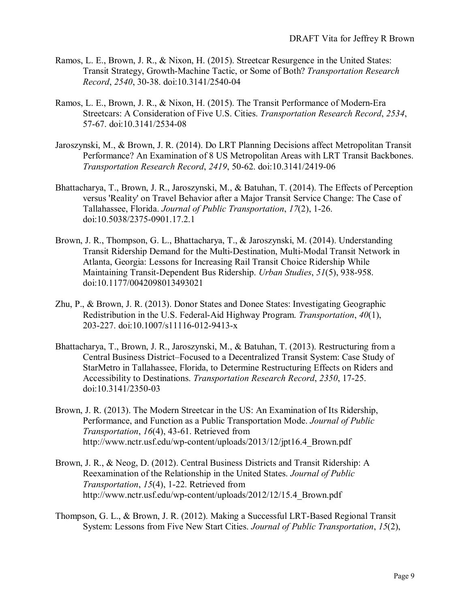- Ramos, L. E., Brown, J. R., & Nixon, H. (2015). Streetcar Resurgence in the United States: Transit Strategy, Growth-Machine Tactic, or Some of Both? *Transportation Research Record*, *2540*, 30-38. doi[:10.3141/2540-04](http://dx.doi.org/10.3141/2540-04)
- Ramos, L. E., Brown, J. R., & Nixon, H. (2015). The Transit Performance of Modern-Era Streetcars: A Consideration of Five U.S. Cities. *Transportation Research Record*, *2534*, 57-67. doi[:10.3141/2534-08](http://dx.doi.org/10.3141/2534-08)
- Jaroszynski, M., & Brown, J. R. (2014). Do LRT Planning Decisions affect Metropolitan Transit Performance? An Examination of 8 US Metropolitan Areas with LRT Transit Backbones. *Transportation Research Record*, *2419*, 50-62. doi[:10.3141/2419-06](http://dx.doi.org/10.3141/2419-06)
- Bhattacharya, T., Brown, J. R., Jaroszynski, M., & Batuhan, T. (2014). The Effects of Perception versus 'Reality' on Travel Behavior after a Major Transit Service Change: The Case of Tallahassee, Florida. *Journal of Public Transportation*, *17*(2), 1-26. doi[:10.5038/2375-0901.17.2.1](http://dx.doi.org/10.5038/2375-0901.17.2.1)
- Brown, J. R., Thompson, G. L., Bhattacharya, T., & Jaroszynski, M. (2014). Understanding Transit Ridership Demand for the Multi-Destination, Multi-Modal Transit Network in Atlanta, Georgia: Lessons for Increasing Rail Transit Choice Ridership While Maintaining Transit-Dependent Bus Ridership. *Urban Studies*, *51*(5), 938-958. doi[:10.1177/0042098013493021](http://dx.doi.org/10.1177/0042098013493021)
- Zhu, P., & Brown, J. R. (2013). Donor States and Donee States: Investigating Geographic Redistribution in the U.S. Federal-Aid Highway Program. *Transportation*, *40*(1), 203-227. doi[:10.1007/s11116-012-9413-x](http://dx.doi.org/10.1007/s11116-012-9413-x)
- Bhattacharya, T., Brown, J. R., Jaroszynski, M., & Batuhan, T. (2013). Restructuring from a Central Business District–Focused to a Decentralized Transit System: Case Study of StarMetro in Tallahassee, Florida, to Determine Restructuring Effects on Riders and Accessibility to Destinations. *Transportation Research Record*, *2350*, 17-25. doi[:10.3141/2350-03](http://dx.doi.org/10.3141/2350-03)
- Brown, J. R. (2013). The Modern Streetcar in the US: An Examination of Its Ridership, Performance, and Function as a Public Transportation Mode. *Journal of Public Transportation*, *16*(4), 43-61. Retrieved from [http://www.nctr.usf.edu/wp-content/uploads/2013/12/jpt16.4\\_Brown.pdf](http://www.nctr.usf.edu/wp-content/uploads/2013/12/jpt16.4_Brown.pdf)
- Brown, J. R., & Neog, D. (2012). Central Business Districts and Transit Ridership: A Reexamination of the Relationship in the United States. *Journal of Public Transportation*, *15*(4), 1-22. Retrieved from [http://www.nctr.usf.edu/wp-content/uploads/2012/12/15.4\\_Brown.pdf](http://www.nctr.usf.edu/wp-content/uploads/2012/12/15.4_Brown.pdf)
- Thompson, G. L., & Brown, J. R. (2012). Making a Successful LRT-Based Regional Transit System: Lessons from Five New Start Cities. *Journal of Public Transportation*, *15*(2),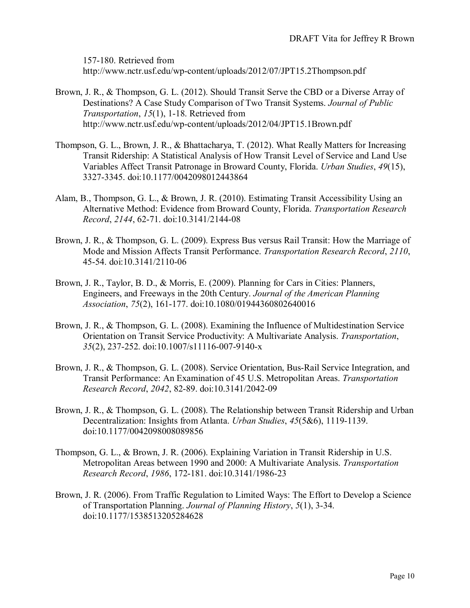157-180. Retrieved from <http://www.nctr.usf.edu/wp-content/uploads/2012/07/JPT15.2Thompson.pdf>

- Brown, J. R., & Thompson, G. L. (2012). Should Transit Serve the CBD or a Diverse Array of Destinations? A Case Study Comparison of Two Transit Systems. *Journal of Public Transportation*, *15*(1), 1-18. Retrieved from <http://www.nctr.usf.edu/wp-content/uploads/2012/04/JPT15.1Brown.pdf>
- Thompson, G. L., Brown, J. R., & Bhattacharya, T. (2012). What Really Matters for Increasing Transit Ridership: A Statistical Analysis of How Transit Level of Service and Land Use Variables Affect Transit Patronage in Broward County, Florida. *Urban Studies*, *49*(15), 3327-3345. doi[:10.1177/0042098012443864](http://dx.doi.org/10.1177/0042098012443864)
- Alam, B., Thompson, G. L., & Brown, J. R. (2010). Estimating Transit Accessibility Using an Alternative Method: Evidence from Broward County, Florida. *Transportation Research Record*, *2144*, 62-71. doi[:10.3141/2144-08](http://dx.doi.org/10.3141/2144-08)
- Brown, J. R., & Thompson, G. L. (2009). Express Bus versus Rail Transit: How the Marriage of Mode and Mission Affects Transit Performance. *Transportation Research Record*, *2110*, 45-54. doi[:10.3141/2110-06](http://dx.doi.org/10.3141/2110-06)
- Brown, J. R., Taylor, B. D., & Morris, E. (2009). Planning for Cars in Cities: Planners, Engineers, and Freeways in the 20th Century. *Journal of the American Planning Association*, *75*(2), 161-177. doi[:10.1080/01944360802640016](http://dx.doi.org/10.1080/01944360802640016)
- Brown, J. R., & Thompson, G. L. (2008). Examining the Influence of Multidestination Service Orientation on Transit Service Productivity: A Multivariate Analysis. *Transportation*, *35*(2), 237-252. doi[:10.1007/s11116-007-9140-x](http://dx.doi.org/10.1007/s11116-007-9140-x)
- Brown, J. R., & Thompson, G. L. (2008). Service Orientation, Bus-Rail Service Integration, and Transit Performance: An Examination of 45 U.S. Metropolitan Areas. *Transportation Research Record*, *2042*, 82-89. doi[:10.3141/2042-09](http://dx.doi.org/10.3141/2042-09)
- Brown, J. R., & Thompson, G. L. (2008). The Relationship between Transit Ridership and Urban Decentralization: Insights from Atlanta. *Urban Studies*, *45*(5&6), 1119-1139. doi[:10.1177/0042098008089856](http://dx.doi.org/10.1177/0042098008089856)
- Thompson, G. L., & Brown, J. R. (2006). Explaining Variation in Transit Ridership in U.S. Metropolitan Areas between 1990 and 2000: A Multivariate Analysis. *Transportation Research Record*, *1986*, 172-181. doi[:10.3141/1986-23](http://dx.doi.org/10.3141/1986-23)
- Brown, J. R. (2006). From Traffic Regulation to Limited Ways: The Effort to Develop a Science of Transportation Planning. *Journal of Planning History*, *5*(1), 3-34. doi[:10.1177/1538513205284628](http://dx.doi.org/10.1177/1538513205284628)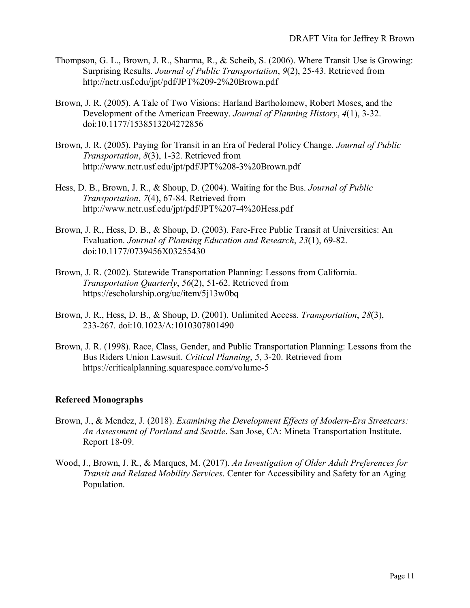- Thompson, G. L., Brown, J. R., Sharma, R., & Scheib, S. (2006). Where Transit Use is Growing: Surprising Results. *Journal of Public Transportation*, *9*(2), 25-43. Retrieved from <http://nctr.usf.edu/jpt/pdf/JPT%209-2%20Brown.pdf>
- Brown, J. R. (2005). A Tale of Two Visions: Harland Bartholomew, Robert Moses, and the Development of the American Freeway. *Journal of Planning History*, *4*(1), 3-32. doi[:10.1177/1538513204272856](http://dx.doi.org/10.1177/1538513204272856)
- Brown, J. R. (2005). Paying for Transit in an Era of Federal Policy Change. *Journal of Public Transportation*, *8*(3), 1-32. Retrieved from <http://www.nctr.usf.edu/jpt/pdf/JPT%208-3%20Brown.pdf>
- Hess, D. B., Brown, J. R., & Shoup, D. (2004). Waiting for the Bus. *Journal of Public Transportation*, *7*(4), 67-84. Retrieved from <http://www.nctr.usf.edu/jpt/pdf/JPT%207-4%20Hess.pdf>
- Brown, J. R., Hess, D. B., & Shoup, D. (2003). Fare-Free Public Transit at Universities: An Evaluation. *Journal of Planning Education and Research*, *23*(1), 69-82. doi[:10.1177/0739456X03255430](http://dx.doi.org/10.1177/0739456X03255430)
- Brown, J. R. (2002). Statewide Transportation Planning: Lessons from California. *Transportation Quarterly*, *56*(2), 51-62. Retrieved from <https://escholarship.org/uc/item/5j13w0bq>
- Brown, J. R., Hess, D. B., & Shoup, D. (2001). Unlimited Access. *Transportation*, *28*(3), 233-267. doi[:10.1023/A:1010307801490](http://dx.doi.org/10.1023/A:1010307801490)
- Brown, J. R. (1998). Race, Class, Gender, and Public Transportation Planning: Lessons from the Bus Riders Union Lawsuit. *Critical Planning*, *5*, 3-20. Retrieved from <https://criticalplanning.squarespace.com/volume-5>

#### **Refereed Monographs**

- Brown, J., & Mendez, J. (2018). *Examining the Development Effects of Modern-Era Streetcars: An Assessment of Portland and Seattle*. San Jose, CA: Mineta Transportation Institute. Report 18-09.
- Wood, J., Brown, J. R., & Marques, M. (2017). *An Investigation of Older Adult Preferences for Transit and Related Mobility Services*. Center for Accessibility and Safety for an Aging Population.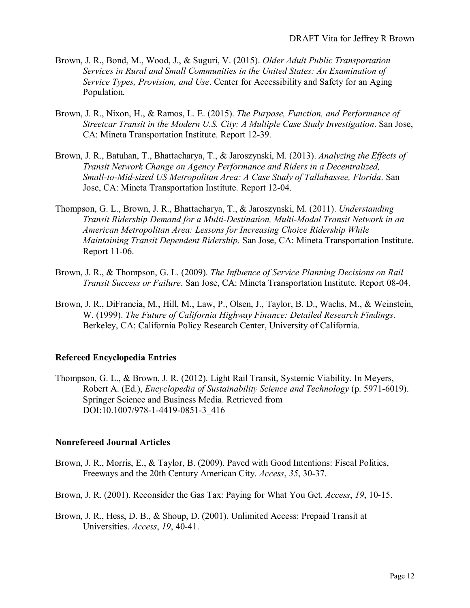- Brown, J. R., Bond, M., Wood, J., & Suguri, V. (2015). *Older Adult Public Transportation Services in Rural and Small Communities in the United States: An Examination of Service Types, Provision, and Use*. Center for Accessibility and Safety for an Aging Population.
- Brown, J. R., Nixon, H., & Ramos, L. E. (2015). *The Purpose, Function, and Performance of Streetcar Transit in the Modern U.S. City: A Multiple Case Study Investigation*. San Jose, CA: Mineta Transportation Institute. Report 12-39.
- Brown, J. R., Batuhan, T., Bhattacharya, T., & Jaroszynski, M. (2013). *Analyzing the Effects of Transit Network Change on Agency Performance and Riders in a Decentralized, Small-to-Mid-sized US Metropolitan Area: A Case Study of Tallahassee, Florida*. San Jose, CA: Mineta Transportation Institute. Report 12-04.
- Thompson, G. L., Brown, J. R., Bhattacharya, T., & Jaroszynski, M. (2011). *Understanding Transit Ridership Demand for a Multi-Destination, Multi-Modal Transit Network in an American Metropolitan Area: Lessons for Increasing Choice Ridership While Maintaining Transit Dependent Ridership*. San Jose, CA: Mineta Transportation Institute. Report 11-06.
- Brown, J. R., & Thompson, G. L. (2009). *The Influence of Service Planning Decisions on Rail Transit Success or Failure*. San Jose, CA: Mineta Transportation Institute. Report 08-04.
- Brown, J. R., DiFrancia, M., Hill, M., Law, P., Olsen, J., Taylor, B. D., Wachs, M., & Weinstein, W. (1999). *The Future of California Highway Finance: Detailed Research Findings*. Berkeley, CA: California Policy Research Center, University of California.

#### **Refereed Encyclopedia Entries**

Thompson, G. L., & Brown, J. R. (2012). Light Rail Transit, Systemic Viability. In Meyers, Robert A. (Ed.), *Encyclopedia of Sustainability Science and Technology* (p. 5971-6019). Springer Science and Business Media. Retrieved from DOI:10.1007/978-1-4419-0851-3\_416

#### **Nonrefereed Journal Articles**

- Brown, J. R., Morris, E., & Taylor, B. (2009). Paved with Good Intentions: Fiscal Politics, Freeways and the 20th Century American City. *Access*, *35*, 30-37.
- Brown, J. R. (2001). Reconsider the Gas Tax: Paying for What You Get. *Access*, *19*, 10-15.
- Brown, J. R., Hess, D. B., & Shoup, D. (2001). Unlimited Access: Prepaid Transit at Universities. *Access*, *19*, 40-41.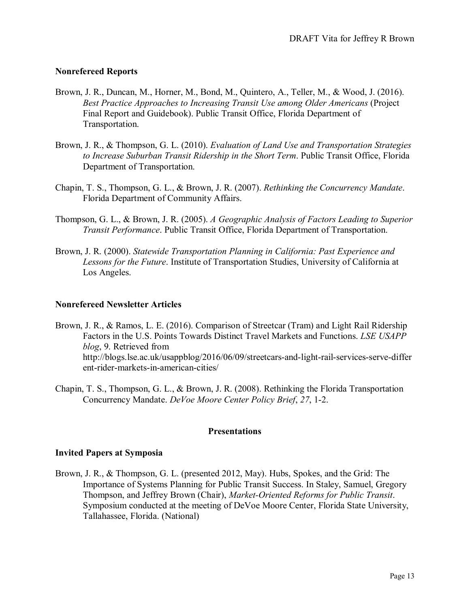#### **Nonrefereed Reports**

- Brown, J. R., Duncan, M., Horner, M., Bond, M., Quintero, A., Teller, M., & Wood, J. (2016). *Best Practice Approaches to Increasing Transit Use among Older Americans* (Project Final Report and Guidebook). Public Transit Office, Florida Department of Transportation.
- Brown, J. R., & Thompson, G. L. (2010). *Evaluation of Land Use and Transportation Strategies to Increase Suburban Transit Ridership in the Short Term*. Public Transit Office, Florida Department of Transportation.
- Chapin, T. S., Thompson, G. L., & Brown, J. R. (2007). *Rethinking the Concurrency Mandate*. Florida Department of Community Affairs.
- Thompson, G. L., & Brown, J. R. (2005). *A Geographic Analysis of Factors Leading to Superior Transit Performance*. Public Transit Office, Florida Department of Transportation.
- Brown, J. R. (2000). *Statewide Transportation Planning in California: Past Experience and Lessons for the Future*. Institute of Transportation Studies, University of California at Los Angeles.

#### **Nonrefereed Newsletter Articles**

- Brown, J. R., & Ramos, L. E. (2016). Comparison of Streetcar (Tram) and Light Rail Ridership Factors in the U.S. Points Towards Distinct Travel Markets and Functions. *LSE USAPP blog*, 9. Retrieved from [http://blogs.lse.ac.uk/usappblog/2016/06/09/streetcars-and-light-rail-services-serve-differ](http://blogs.lse.ac.uk/usappblog/2016/06/09/streetcars-and-light-rail-services-serve-different-rider-markets-in-american-cities/) [ent-rider-markets-in-american-cities/](http://blogs.lse.ac.uk/usappblog/2016/06/09/streetcars-and-light-rail-services-serve-different-rider-markets-in-american-cities/)
- Chapin, T. S., Thompson, G. L., & Brown, J. R. (2008). Rethinking the Florida Transportation Concurrency Mandate. *DeVoe Moore Center Policy Brief*, *27*, 1-2.

#### **Presentations**

#### **Invited Papers at Symposia**

Brown, J. R., & Thompson, G. L. (presented 2012, May). Hubs, Spokes, and the Grid: The Importance of Systems Planning for Public Transit Success. In Staley, Samuel, Gregory Thompson, and Jeffrey Brown (Chair), *Market-Oriented Reforms for Public Transit*. Symposium conducted at the meeting of DeVoe Moore Center, Florida State University, Tallahassee, Florida. (National)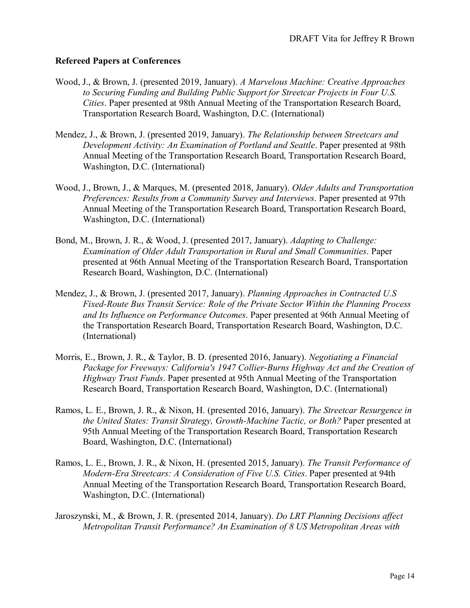#### **Refereed Papers at Conferences**

- Wood, J., & Brown, J. (presented 2019, January). *A Marvelous Machine: Creative Approaches to Securing Funding and Building Public Support for Streetcar Projects in Four U.S. Cities*. Paper presented at 98th Annual Meeting of the Transportation Research Board, Transportation Research Board, Washington, D.C. (International)
- Mendez, J., & Brown, J. (presented 2019, January). *The Relationship between Streetcars and Development Activity: An Examination of Portland and Seattle*. Paper presented at 98th Annual Meeting of the Transportation Research Board, Transportation Research Board, Washington, D.C. (International)
- Wood, J., Brown, J., & Marques, M. (presented 2018, January). *Older Adults and Transportation Preferences: Results from a Community Survey and Interviews*. Paper presented at 97th Annual Meeting of the Transportation Research Board, Transportation Research Board, Washington, D.C. (International)
- Bond, M., Brown, J. R., & Wood, J. (presented 2017, January). *Adapting to Challenge: Examination of Older Adult Transportation in Rural and Small Communities*. Paper presented at 96th Annual Meeting of the Transportation Research Board, Transportation Research Board, Washington, D.C. (International)
- Mendez, J., & Brown, J. (presented 2017, January). *Planning Approaches in Contracted U.S Fixed-Route Bus Transit Service: Role of the Private Sector Within the Planning Process and Its Influence on Performance Outcomes*. Paper presented at 96th Annual Meeting of the Transportation Research Board, Transportation Research Board, Washington, D.C. (International)
- Morris, E., Brown, J. R., & Taylor, B. D. (presented 2016, January). *Negotiating a Financial Package for Freeways: California's 1947 Collier-Burns Highway Act and the Creation of Highway Trust Funds*. Paper presented at 95th Annual Meeting of the Transportation Research Board, Transportation Research Board, Washington, D.C. (International)
- Ramos, L. E., Brown, J. R., & Nixon, H. (presented 2016, January). *The Streetcar Resurgence in the United States: Transit Strategy, Growth-Machine Tactic, or Both?* Paper presented at 95th Annual Meeting of the Transportation Research Board, Transportation Research Board, Washington, D.C. (International)
- Ramos, L. E., Brown, J. R., & Nixon, H. (presented 2015, January). *The Transit Performance of Modern-Era Streetcars: A Consideration of Five U.S. Cities*. Paper presented at 94th Annual Meeting of the Transportation Research Board, Transportation Research Board, Washington, D.C. (International)
- Jaroszynski, M., & Brown, J. R. (presented 2014, January). *Do LRT Planning Decisions affect Metropolitan Transit Performance? An Examination of 8 US Metropolitan Areas with*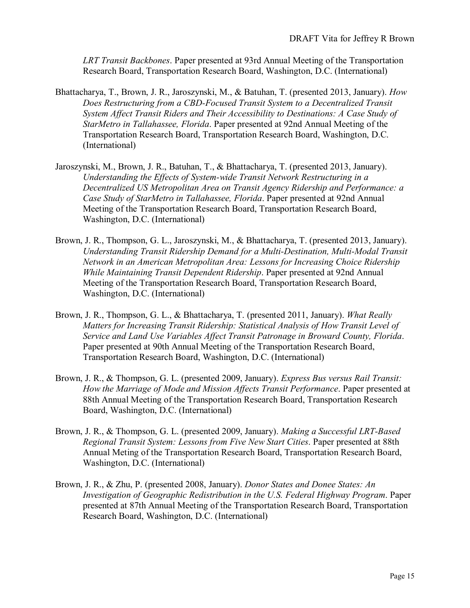*LRT Transit Backbones*. Paper presented at 93rd Annual Meeting of the Transportation Research Board, Transportation Research Board, Washington, D.C. (International)

- Bhattacharya, T., Brown, J. R., Jaroszynski, M., & Batuhan, T. (presented 2013, January). *How Does Restructuring from a CBD-Focused Transit System to a Decentralized Transit System Affect Transit Riders and Their Accessibility to Destinations: A Case Study of StarMetro in Tallahassee, Florida*. Paper presented at 92nd Annual Meeting of the Transportation Research Board, Transportation Research Board, Washington, D.C. (International)
- Jaroszynski, M., Brown, J. R., Batuhan, T., & Bhattacharya, T. (presented 2013, January). *Understanding the Effects of System-wide Transit Network Restructuring in a Decentralized US Metropolitan Area on Transit Agency Ridership and Performance: a Case Study of StarMetro in Tallahassee, Florida*. Paper presented at 92nd Annual Meeting of the Transportation Research Board, Transportation Research Board, Washington, D.C. (International)
- Brown, J. R., Thompson, G. L., Jaroszynski, M., & Bhattacharya, T. (presented 2013, January). *Understanding Transit Ridership Demand for a Multi-Destination, Multi-Modal Transit Network in an American Metropolitan Area: Lessons for Increasing Choice Ridership While Maintaining Transit Dependent Ridership*. Paper presented at 92nd Annual Meeting of the Transportation Research Board, Transportation Research Board, Washington, D.C. (International)
- Brown, J. R., Thompson, G. L., & Bhattacharya, T. (presented 2011, January). *What Really Matters for Increasing Transit Ridership: Statistical Analysis of How Transit Level of Service and Land Use Variables Affect Transit Patronage in Broward County, Florida*. Paper presented at 90th Annual Meeting of the Transportation Research Board, Transportation Research Board, Washington, D.C. (International)
- Brown, J. R., & Thompson, G. L. (presented 2009, January). *Express Bus versus Rail Transit: How the Marriage of Mode and Mission Affects Transit Performance*. Paper presented at 88th Annual Meeting of the Transportation Research Board, Transportation Research Board, Washington, D.C. (International)
- Brown, J. R., & Thompson, G. L. (presented 2009, January). *Making a Successful LRT-Based Regional Transit System: Lessons from Five New Start Cities*. Paper presented at 88th Annual Meting of the Transportation Research Board, Transportation Research Board, Washington, D.C. (International)
- Brown, J. R., & Zhu, P. (presented 2008, January). *Donor States and Donee States: An Investigation of Geographic Redistribution in the U.S. Federal Highway Program*. Paper presented at 87th Annual Meeting of the Transportation Research Board, Transportation Research Board, Washington, D.C. (International)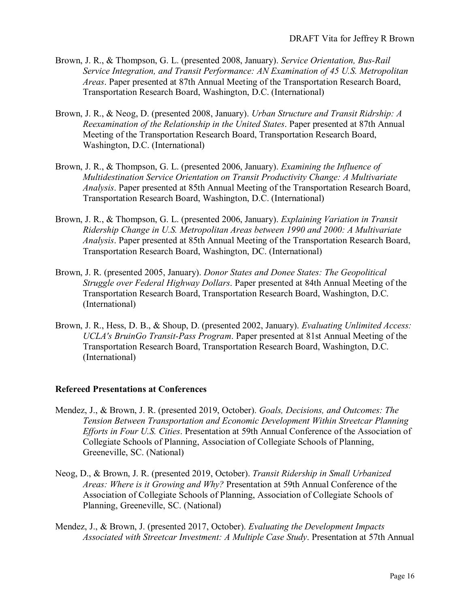- Brown, J. R., & Thompson, G. L. (presented 2008, January). *Service Orientation, Bus-Rail Service Integration, and Transit Performance: AN Examination of 45 U.S. Metropolitan Areas*. Paper presented at 87th Annual Meeting of the Transportation Research Board, Transportation Research Board, Washington, D.C. (International)
- Brown, J. R., & Neog, D. (presented 2008, January). *Urban Structure and Transit Ridrship: A Reexamination of the Relationship in the United States*. Paper presented at 87th Annual Meeting of the Transportation Research Board, Transportation Research Board, Washington, D.C. (International)
- Brown, J. R., & Thompson, G. L. (presented 2006, January). *Examining the Influence of Multidestination Service Orientation on Transit Productivity Change: A Multivariate Analysis*. Paper presented at 85th Annual Meeting of the Transportation Research Board, Transportation Research Board, Washington, D.C. (International)
- Brown, J. R., & Thompson, G. L. (presented 2006, January). *Explaining Variation in Transit Ridership Change in U.S. Metropolitan Areas between 1990 and 2000: A Multivariate Analysis*. Paper presented at 85th Annual Meeting of the Transportation Research Board, Transportation Research Board, Washington, DC. (International)
- Brown, J. R. (presented 2005, January). *Donor States and Donee States: The Geopolitical Struggle over Federal Highway Dollars*. Paper presented at 84th Annual Meeting of the Transportation Research Board, Transportation Research Board, Washington, D.C. (International)
- Brown, J. R., Hess, D. B., & Shoup, D. (presented 2002, January). *Evaluating Unlimited Access: UCLA's BruinGo Transit-Pass Program*. Paper presented at 81st Annual Meeting of the Transportation Research Board, Transportation Research Board, Washington, D.C. (International)

#### **Refereed Presentations at Conferences**

- Mendez, J., & Brown, J. R. (presented 2019, October). *Goals, Decisions, and Outcomes: The Tension Between Transportation and Economic Development Within Streetcar Planning Efforts in Four U.S. Cities*. Presentation at 59th Annual Conference of the Association of Collegiate Schools of Planning, Association of Collegiate Schools of Planning, Greeneville, SC. (National)
- Neog, D., & Brown, J. R. (presented 2019, October). *Transit Ridership in Small Urbanized Areas: Where is it Growing and Why?* Presentation at 59th Annual Conference of the Association of Collegiate Schools of Planning, Association of Collegiate Schools of Planning, Greeneville, SC. (National)
- Mendez, J., & Brown, J. (presented 2017, October). *Evaluating the Development Impacts Associated with Streetcar Investment: A Multiple Case Study*. Presentation at 57th Annual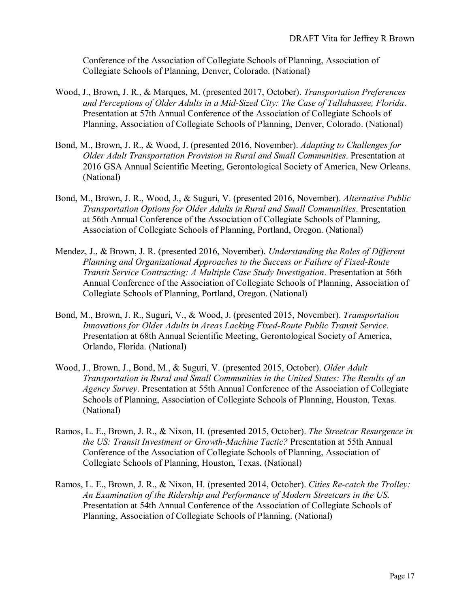Conference of the Association of Collegiate Schools of Planning, Association of Collegiate Schools of Planning, Denver, Colorado. (National)

- Wood, J., Brown, J. R., & Marques, M. (presented 2017, October). *Transportation Preferences and Perceptions of Older Adults in a Mid-Sized City: The Case of Tallahassee, Florida*. Presentation at 57th Annual Conference of the Association of Collegiate Schools of Planning, Association of Collegiate Schools of Planning, Denver, Colorado. (National)
- Bond, M., Brown, J. R., & Wood, J. (presented 2016, November). *Adapting to Challenges for Older Adult Transportation Provision in Rural and Small Communities*. Presentation at 2016 GSA Annual Scientific Meeting, Gerontological Society of America, New Orleans. (National)
- Bond, M., Brown, J. R., Wood, J., & Suguri, V. (presented 2016, November). *Alternative Public Transportation Options for Older Adults in Rural and Small Communities*. Presentation at 56th Annual Conference of the Association of Collegiate Schools of Planning, Association of Collegiate Schools of Planning, Portland, Oregon. (National)
- Mendez, J., & Brown, J. R. (presented 2016, November). *Understanding the Roles of Different Planning and Organizational Approaches to the Success or Failure of Fixed-Route Transit Service Contracting: A Multiple Case Study Investigation*. Presentation at 56th Annual Conference of the Association of Collegiate Schools of Planning, Association of Collegiate Schools of Planning, Portland, Oregon. (National)
- Bond, M., Brown, J. R., Suguri, V., & Wood, J. (presented 2015, November). *Transportation Innovations for Older Adults in Areas Lacking Fixed-Route Public Transit Service*. Presentation at 68th Annual Scientific Meeting, Gerontological Society of America, Orlando, Florida. (National)
- Wood, J., Brown, J., Bond, M., & Suguri, V. (presented 2015, October). *Older Adult Transportation in Rural and Small Communities in the United States: The Results of an Agency Survey*. Presentation at 55th Annual Conference of the Association of Collegiate Schools of Planning, Association of Collegiate Schools of Planning, Houston, Texas. (National)
- Ramos, L. E., Brown, J. R., & Nixon, H. (presented 2015, October). *The Streetcar Resurgence in the US: Transit Investment or Growth-Machine Tactic?* Presentation at 55th Annual Conference of the Association of Collegiate Schools of Planning, Association of Collegiate Schools of Planning, Houston, Texas. (National)
- Ramos, L. E., Brown, J. R., & Nixon, H. (presented 2014, October). *Cities Re-catch the Trolley: An Examination of the Ridership and Performance of Modern Streetcars in the US*. Presentation at 54th Annual Conference of the Association of Collegiate Schools of Planning, Association of Collegiate Schools of Planning. (National)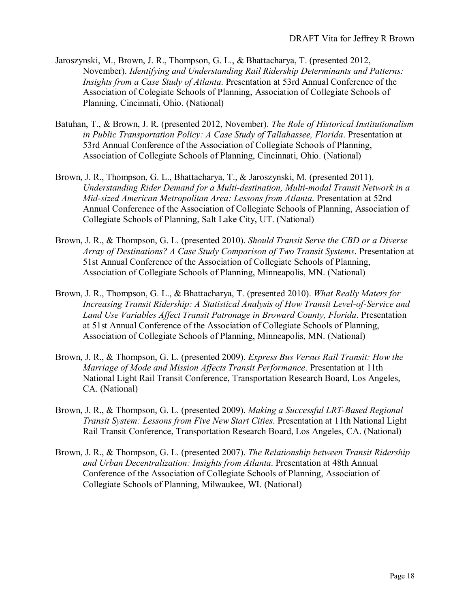- Jaroszynski, M., Brown, J. R., Thompson, G. L., & Bhattacharya, T. (presented 2012, November). *Identifying and Understanding Rail Ridership Determinants and Patterns: Insights from a Case Study of Atlanta*. Presentation at 53rd Annual Conference of the Association of Colegiate Schools of Planning, Association of Collegiate Schools of Planning, Cincinnati, Ohio. (National)
- Batuhan, T., & Brown, J. R. (presented 2012, November). *The Role of Historical Institutionalism in Public Transportation Policy: A Case Study of Tallahassee, Florida*. Presentation at 53rd Annual Conference of the Association of Collegiate Schools of Planning, Association of Collegiate Schools of Planning, Cincinnati, Ohio. (National)
- Brown, J. R., Thompson, G. L., Bhattacharya, T., & Jaroszynski, M. (presented 2011). *Understanding Rider Demand for a Multi-destination, Multi-modal Transit Network in a Mid-sized American Metropolitan Area: Lessons from Atlanta*. Presentation at 52nd Annual Conference of the Association of Collegiate Schools of Planning, Association of Collegiate Schools of Planning, Salt Lake City, UT. (National)
- Brown, J. R., & Thompson, G. L. (presented 2010). *Should Transit Serve the CBD or a Diverse Array of Destinations? A Case Study Comparison of Two Transit Systems*. Presentation at 51st Annual Conference of the Association of Collegiate Schools of Planning, Association of Collegiate Schools of Planning, Minneapolis, MN. (National)
- Brown, J. R., Thompson, G. L., & Bhattacharya, T. (presented 2010). *What Really Maters for Increasing Transit Ridership: A Statistical Analysis of How Transit Level-of-Service and Land Use Variables Affect Transit Patronage in Broward County, Florida*. Presentation at 51st Annual Conference of the Association of Collegiate Schools of Planning, Association of Collegiate Schools of Planning, Minneapolis, MN. (National)
- Brown, J. R., & Thompson, G. L. (presented 2009). *Express Bus Versus Rail Transit: How the Marriage of Mode and Mission Affects Transit Performance*. Presentation at 11th National Light Rail Transit Conference, Transportation Research Board, Los Angeles, CA. (National)
- Brown, J. R., & Thompson, G. L. (presented 2009). *Making a Successful LRT-Based Regional Transit System: Lessons from Five New Start Cities*. Presentation at 11th National Light Rail Transit Conference, Transportation Research Board, Los Angeles, CA. (National)
- Brown, J. R., & Thompson, G. L. (presented 2007). *The Relationship between Transit Ridership and Urban Decentralization: Insights from Atlanta*. Presentation at 48th Annual Conference of the Association of Collegiate Schools of Planning, Association of Collegiate Schools of Planning, Milwaukee, WI. (National)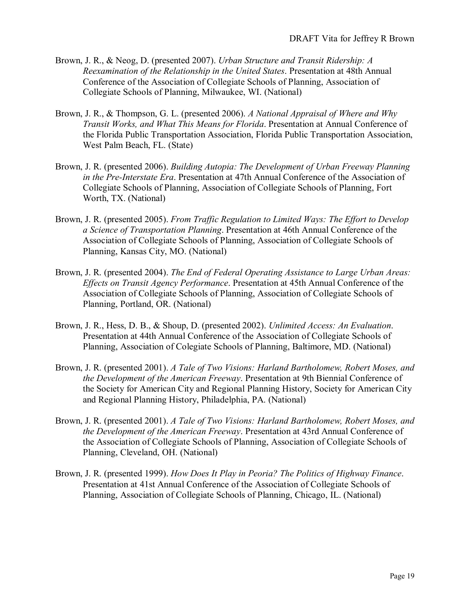- Brown, J. R., & Neog, D. (presented 2007). *Urban Structure and Transit Ridership: A Reexamination of the Relationship in the United States*. Presentation at 48th Annual Conference of the Association of Collegiate Schools of Planning, Association of Collegiate Schools of Planning, Milwaukee, WI. (National)
- Brown, J. R., & Thompson, G. L. (presented 2006). *A National Appraisal of Where and Why Transit Works, and What This Means for Florida*. Presentation at Annual Conference of the Florida Public Transportation Association, Florida Public Transportation Association, West Palm Beach, FL. (State)
- Brown, J. R. (presented 2006). *Building Autopia: The Development of Urban Freeway Planning in the Pre-Interstate Era*. Presentation at 47th Annual Conference of the Association of Collegiate Schools of Planning, Association of Collegiate Schools of Planning, Fort Worth, TX. (National)
- Brown, J. R. (presented 2005). *From Traffic Regulation to Limited Ways: The Effort to Develop a Science of Transportation Planning*. Presentation at 46th Annual Conference of the Association of Collegiate Schools of Planning, Association of Collegiate Schools of Planning, Kansas City, MO. (National)
- Brown, J. R. (presented 2004). *The End of Federal Operating Assistance to Large Urban Areas: Effects on Transit Agency Performance*. Presentation at 45th Annual Conference of the Association of Collegiate Schools of Planning, Association of Collegiate Schools of Planning, Portland, OR. (National)
- Brown, J. R., Hess, D. B., & Shoup, D. (presented 2002). *Unlimited Access: An Evaluation*. Presentation at 44th Annual Conference of the Association of Collegiate Schools of Planning, Association of Colegiate Schools of Planning, Baltimore, MD. (National)
- Brown, J. R. (presented 2001). *A Tale of Two Visions: Harland Bartholomew, Robert Moses, and the Development of the American Freeway*. Presentation at 9th Biennial Conference of the Society for American City and Regional Planning History, Society for American City and Regional Planning History, Philadelphia, PA. (National)
- Brown, J. R. (presented 2001). *A Tale of Two Visions: Harland Bartholomew, Robert Moses, and the Development of the American Freeway*. Presentation at 43rd Annual Conference of the Association of Collegiate Schools of Planning, Association of Collegiate Schools of Planning, Cleveland, OH. (National)
- Brown, J. R. (presented 1999). *How Does It Play in Peoria? The Politics of Highway Finance*. Presentation at 41st Annual Conference of the Association of Collegiate Schools of Planning, Association of Collegiate Schools of Planning, Chicago, IL. (National)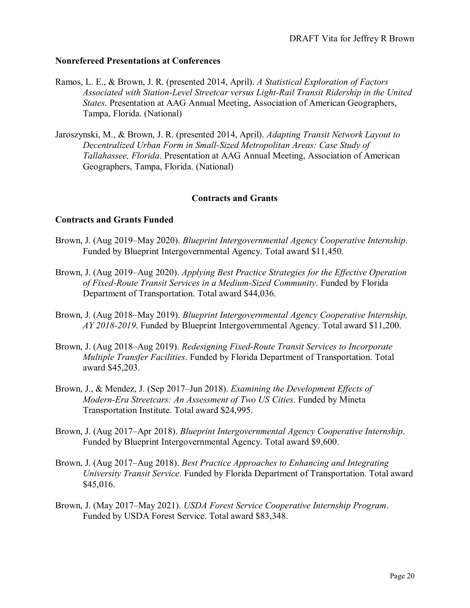#### **Nonrefereed Presentations at Conferences**

- Ramos, L. E., & Brown, J. R. (presented 2014, April). *A Statistical Exploration of Factors Associated with Station-Level Streetcar versus Light-Rail Transit Ridership in the United States*. Presentation at AAG Annual Meeting, Association of American Geographers, Tampa, Florida. (National)
- Jaroszynski, M., & Brown, J. R. (presented 2014, April). *Adapting Transit Network Layout to Decentralized Urban Form in Small-Sized Metropolitan Areas: Case Study of Tallahassee, Florida*. Presentation at AAG Annual Meeting, Association of American Geographers, Tampa, Florida. (National)

#### **Contracts and Grants**

#### **Contracts and Grants Funded**

- Brown, J. (Aug 2019–May 2020). *Blueprint Intergovernmental Agency Cooperative Internship*. Funded by Blueprint Intergovernmental Agency. Total award \$11,450.
- Brown, J. (Aug 2019–Aug 2020). *Applying Best Practice Strategies for the Effective Operation of Fixed-Route Transit Services in a Medium-Sized Community*. Funded by Florida Department of Transportation. Total award \$44,036.
- Brown, J. (Aug 2018–May 2019). *Blueprint Intergovernmental Agency Cooperative Internship, AY 2018-2019*. Funded by Blueprint Intergovernmental Agency. Total award \$11,200.
- Brown, J. (Aug 2018–Aug 2019). *Redesigning Fixed-Route Transit Services to Incorporate Multiple Transfer Facilities*. Funded by Florida Department of Transportation. Total award \$45,203.
- Brown, J., & Mendez, J. (Sep 2017–Jun 2018). *Examining the Development Effects of Modern-Era Streetcars: An Assessment of Two US Cities*. Funded by Mineta Transportation Institute. Total award \$24,995.
- Brown, J. (Aug 2017–Apr 2018). *Blueprint Intergovernmental Agency Cooperative Internship*. Funded by Blueprint Intergovernmental Agency. Total award \$9,600.
- Brown, J. (Aug 2017–Aug 2018). *Best Practice Approaches to Enhancing and Integrating University Transit Service*. Funded by Florida Department of Transportation. Total award \$45,016.
- Brown, J. (May 2017–May 2021). *USDA Forest Service Cooperative Internship Program*. Funded by USDA Forest Service. Total award \$83,348.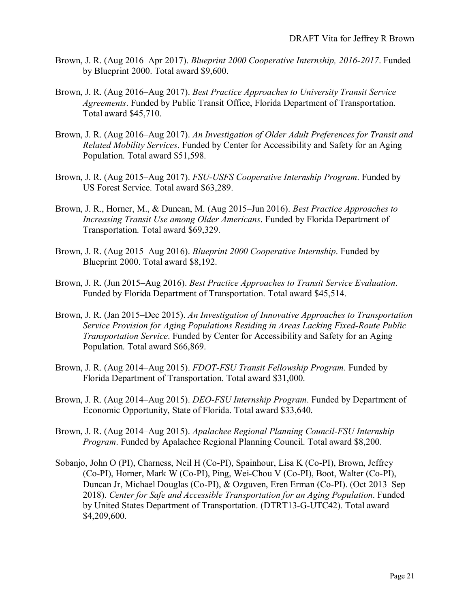- Brown, J. R. (Aug 2016–Apr 2017). *Blueprint 2000 Cooperative Internship, 2016-2017*. Funded by Blueprint 2000. Total award \$9,600.
- Brown, J. R. (Aug 2016–Aug 2017). *Best Practice Approaches to University Transit Service Agreements*. Funded by Public Transit Office, Florida Department of Transportation. Total award \$45,710.
- Brown, J. R. (Aug 2016–Aug 2017). *An Investigation of Older Adult Preferences for Transit and Related Mobility Services*. Funded by Center for Accessibility and Safety for an Aging Population. Total award \$51,598.
- Brown, J. R. (Aug 2015–Aug 2017). *FSU-USFS Cooperative Internship Program*. Funded by US Forest Service. Total award \$63,289.
- Brown, J. R., Horner, M., & Duncan, M. (Aug 2015–Jun 2016). *Best Practice Approaches to Increasing Transit Use among Older Americans*. Funded by Florida Department of Transportation. Total award \$69,329.
- Brown, J. R. (Aug 2015–Aug 2016). *Blueprint 2000 Cooperative Internship*. Funded by Blueprint 2000. Total award \$8,192.
- Brown, J. R. (Jun 2015–Aug 2016). *Best Practice Approaches to Transit Service Evaluation*. Funded by Florida Department of Transportation. Total award \$45,514.
- Brown, J. R. (Jan 2015–Dec 2015). *An Investigation of Innovative Approaches to Transportation Service Provision for Aging Populations Residing in Areas Lacking Fixed-Route Public Transportation Service*. Funded by Center for Accessibility and Safety for an Aging Population. Total award \$66,869.
- Brown, J. R. (Aug 2014–Aug 2015). *FDOT-FSU Transit Fellowship Program*. Funded by Florida Department of Transportation. Total award \$31,000.
- Brown, J. R. (Aug 2014–Aug 2015). *DEO-FSU Internship Program*. Funded by Department of Economic Opportunity, State of Florida. Total award \$33,640.
- Brown, J. R. (Aug 2014–Aug 2015). *Apalachee Regional Planning Council-FSU Internship Program*. Funded by Apalachee Regional Planning Council. Total award \$8,200.
- Sobanjo, John O (PI), Charness, Neil H (Co-PI), Spainhour, Lisa K (Co-PI), Brown, Jeffrey (Co-PI), Horner, Mark W (Co-PI), Ping, Wei-Chou V (Co-PI), Boot, Walter (Co-PI), Duncan Jr, Michael Douglas (Co-PI), & Ozguven, Eren Erman (Co-PI). (Oct 2013–Sep 2018). *Center for Safe and Accessible Transportation for an Aging Population*. Funded by United States Department of Transportation. (DTRT13-G-UTC42). Total award \$4,209,600.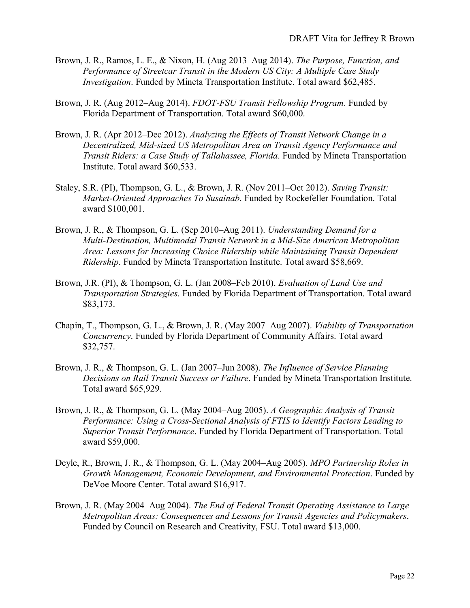- Brown, J. R., Ramos, L. E., & Nixon, H. (Aug 2013–Aug 2014). *The Purpose, Function, and Performance of Streetcar Transit in the Modern US City: A Multiple Case Study Investigation*. Funded by Mineta Transportation Institute. Total award \$62,485.
- Brown, J. R. (Aug 2012–Aug 2014). *FDOT-FSU Transit Fellowship Program*. Funded by Florida Department of Transportation. Total award \$60,000.
- Brown, J. R. (Apr 2012–Dec 2012). *Analyzing the Effects of Transit Network Change in a Decentralized, Mid-sized US Metropolitan Area on Transit Agency Performance and Transit Riders: a Case Study of Tallahassee, Florida*. Funded by Mineta Transportation Institute. Total award \$60,533.
- Staley, S.R. (PI), Thompson, G. L., & Brown, J. R. (Nov 2011–Oct 2012). *Saving Transit: Market-Oriented Approaches To Susainab*. Funded by Rockefeller Foundation. Total award \$100,001.
- Brown, J. R., & Thompson, G. L. (Sep 2010–Aug 2011). *Understanding Demand for a Multi-Destination, Multimodal Transit Network in a Mid-Size American Metropolitan Area: Lessons for Increasing Choice Ridership while Maintaining Transit Dependent Ridership*. Funded by Mineta Transportation Institute. Total award \$58,669.
- Brown, J.R. (PI), & Thompson, G. L. (Jan 2008–Feb 2010). *Evaluation of Land Use and Transportation Strategies*. Funded by Florida Department of Transportation. Total award \$83,173.
- Chapin, T., Thompson, G. L., & Brown, J. R. (May 2007–Aug 2007). *Viability of Transportation Concurrency*. Funded by Florida Department of Community Affairs. Total award \$32,757.
- Brown, J. R., & Thompson, G. L. (Jan 2007–Jun 2008). *The Influence of Service Planning Decisions on Rail Transit Success or Failure*. Funded by Mineta Transportation Institute. Total award \$65,929.
- Brown, J. R., & Thompson, G. L. (May 2004–Aug 2005). *A Geographic Analysis of Transit Performance: Using a Cross-Sectional Analysis of FTIS to Identify Factors Leading to Superior Transit Performance*. Funded by Florida Department of Transportation. Total award \$59,000.
- Deyle, R., Brown, J. R., & Thompson, G. L. (May 2004–Aug 2005). *MPO Partnership Roles in Growth Management, Economic Development, and Environmental Protection*. Funded by DeVoe Moore Center. Total award \$16,917.
- Brown, J. R. (May 2004–Aug 2004). *The End of Federal Transit Operating Assistance to Large Metropolitan Areas: Consequences and Lessons for Transit Agencies and Policymakers*. Funded by Council on Research and Creativity, FSU. Total award \$13,000.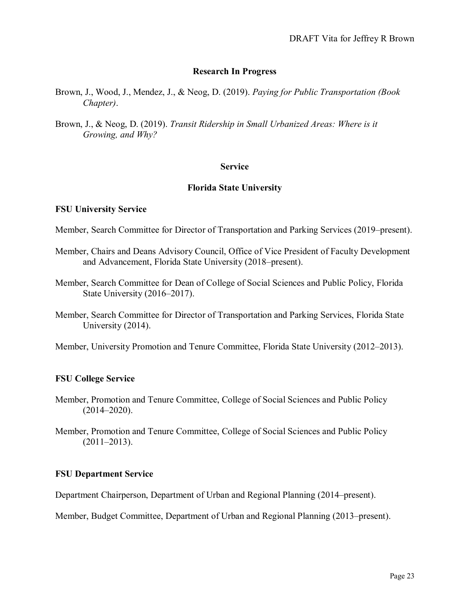#### **Research In Progress**

- Brown, J., Wood, J., Mendez, J., & Neog, D. (2019). *Paying for Public Transportation (Book Chapter)*.
- Brown, J., & Neog, D. (2019). *Transit Ridership in Small Urbanized Areas: Where is it Growing, and Why?*

#### **Service**

#### **Florida State University**

#### **FSU University Service**

- Member, Search Committee for Director of Transportation and Parking Services (2019–present).
- Member, Chairs and Deans Advisory Council, Office of Vice President of Faculty Development and Advancement, Florida State University (2018–present).
- Member, Search Committee for Dean of College of Social Sciences and Public Policy, Florida State University (2016–2017).
- Member, Search Committee for Director of Transportation and Parking Services, Florida State University (2014).
- Member, University Promotion and Tenure Committee, Florida State University (2012–2013).

#### **FSU College Service**

- Member, Promotion and Tenure Committee, College of Social Sciences and Public Policy (2014–2020).
- Member, Promotion and Tenure Committee, College of Social Sciences and Public Policy  $(2011-2013).$

#### **FSU Department Service**

Department Chairperson, Department of Urban and Regional Planning (2014–present).

Member, Budget Committee, Department of Urban and Regional Planning (2013–present).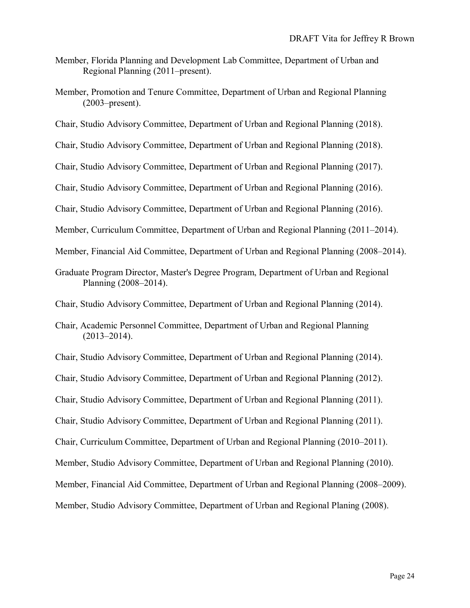- Member, Florida Planning and Development Lab Committee, Department of Urban and Regional Planning (2011–present).
- Member, Promotion and Tenure Committee, Department of Urban and Regional Planning (2003–present).
- Chair, Studio Advisory Committee, Department of Urban and Regional Planning (2018).
- Chair, Studio Advisory Committee, Department of Urban and Regional Planning (2018).
- Chair, Studio Advisory Committee, Department of Urban and Regional Planning (2017).
- Chair, Studio Advisory Committee, Department of Urban and Regional Planning (2016).
- Chair, Studio Advisory Committee, Department of Urban and Regional Planning (2016).
- Member, Curriculum Committee, Department of Urban and Regional Planning (2011–2014).
- Member, Financial Aid Committee, Department of Urban and Regional Planning (2008–2014).
- Graduate Program Director, Master's Degree Program, Department of Urban and Regional Planning (2008–2014).
- Chair, Studio Advisory Committee, Department of Urban and Regional Planning (2014).
- Chair, Academic Personnel Committee, Department of Urban and Regional Planning  $(2013 - 2014)$ .
- Chair, Studio Advisory Committee, Department of Urban and Regional Planning (2014).
- Chair, Studio Advisory Committee, Department of Urban and Regional Planning (2012).
- Chair, Studio Advisory Committee, Department of Urban and Regional Planning (2011).
- Chair, Studio Advisory Committee, Department of Urban and Regional Planning (2011).
- Chair, Curriculum Committee, Department of Urban and Regional Planning (2010–2011).
- Member, Studio Advisory Committee, Department of Urban and Regional Planning (2010).
- Member, Financial Aid Committee, Department of Urban and Regional Planning (2008–2009).
- Member, Studio Advisory Committee, Department of Urban and Regional Planing (2008).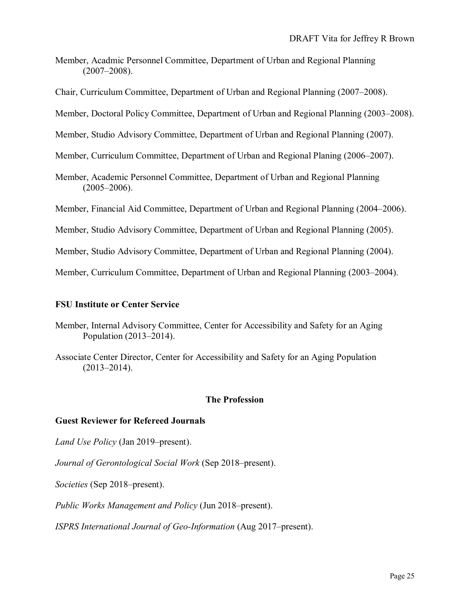- Member, Acadmic Personnel Committee, Department of Urban and Regional Planning (2007–2008).
- Chair, Curriculum Committee, Department of Urban and Regional Planning (2007–2008).
- Member, Doctoral Policy Committee, Department of Urban and Regional Planning (2003–2008).
- Member, Studio Advisory Committee, Department of Urban and Regional Planning (2007).
- Member, Curriculum Committee, Department of Urban and Regional Planing (2006–2007).
- Member, Academic Personnel Committee, Department of Urban and Regional Planning  $(2005 - 2006)$ .
- Member, Financial Aid Committee, Department of Urban and Regional Planning (2004–2006).
- Member, Studio Advisory Committee, Department of Urban and Regional Planning (2005).
- Member, Studio Advisory Committee, Department of Urban and Regional Planning (2004).

Member, Curriculum Committee, Department of Urban and Regional Planning (2003–2004).

#### **FSU Institute or Center Service**

- Member, Internal Advisory Committee, Center for Accessibility and Safety for an Aging Population (2013–2014).
- Associate Center Director, Center for Accessibility and Safety for an Aging Population (2013–2014).

#### **The Profession**

#### **Guest Reviewer for Refereed Journals**

- *Land Use Policy* (Jan 2019–present).
- *Journal of Gerontological Social Work* (Sep 2018–present).
- *Societies* (Sep 2018–present).
- *Public Works Management and Policy* (Jun 2018–present).
- *ISPRS International Journal of Geo-Information* (Aug 2017–present).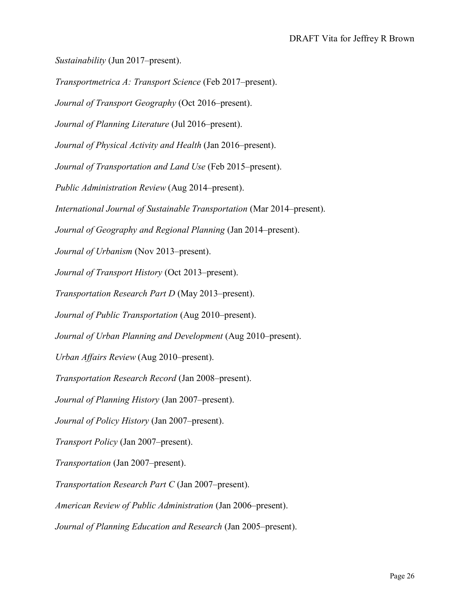*Sustainability* (Jun 2017–present).

*Transportmetrica A: Transport Science* (Feb 2017–present).

*Journal of Transport Geography* (Oct 2016–present).

*Journal of Planning Literature* (Jul 2016–present).

*Journal of Physical Activity and Health* (Jan 2016–present).

*Journal of Transportation and Land Use* (Feb 2015–present).

*Public Administration Review* (Aug 2014–present).

*International Journal of Sustainable Transportation* (Mar 2014–present).

*Journal of Geography and Regional Planning* (Jan 2014–present).

*Journal of Urbanism* (Nov 2013–present).

*Journal of Transport History* (Oct 2013–present).

*Transportation Research Part D* (May 2013–present).

*Journal of Public Transportation* (Aug 2010–present).

*Journal of Urban Planning and Development* (Aug 2010–present).

*Urban Affairs Review* (Aug 2010–present).

*Transportation Research Record* (Jan 2008–present).

*Journal of Planning History* (Jan 2007–present).

*Journal of Policy History* (Jan 2007–present).

*Transport Policy* (Jan 2007–present).

*Transportation* (Jan 2007–present).

*Transportation Research Part C* (Jan 2007–present).

*American Review of Public Administration* (Jan 2006–present).

*Journal of Planning Education and Research* (Jan 2005–present).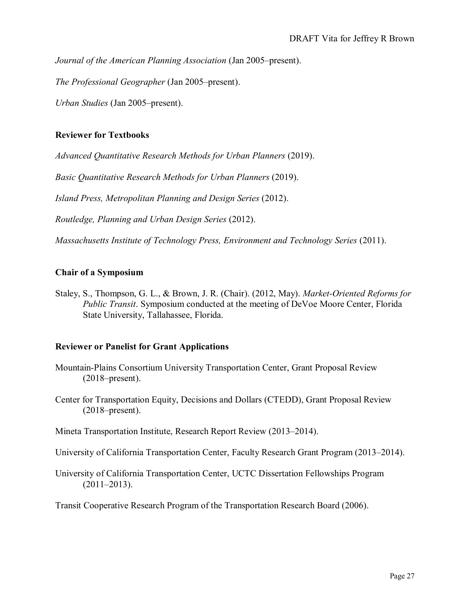*Journal of the American Planning Association* (Jan 2005–present).

*The Professional Geographer* (Jan 2005–present).

*Urban Studies* (Jan 2005–present).

#### **Reviewer for Textbooks**

*Advanced Quantitative Research Methods for Urban Planners* (2019).

*Basic Quantitative Research Methods for Urban Planners* (2019).

*Island Press, Metropolitan Planning and Design Series* (2012).

*Routledge, Planning and Urban Design Series* (2012).

*Massachusetts Institute of Technology Press, Environment and Technology Series* (2011).

#### **Chair of a Symposium**

Staley, S., Thompson, G. L., & Brown, J. R. (Chair). (2012, May). *Market-Oriented Reforms for Public Transit*. Symposium conducted at the meeting of DeVoe Moore Center, Florida State University, Tallahassee, Florida.

#### **Reviewer or Panelist for Grant Applications**

- Mountain-Plains Consortium University Transportation Center, Grant Proposal Review (2018–present).
- Center for Transportation Equity, Decisions and Dollars (CTEDD), Grant Proposal Review (2018–present).

Mineta Transportation Institute, Research Report Review (2013–2014).

University of California Transportation Center, Faculty Research Grant Program (2013–2014).

University of California Transportation Center, UCTC Dissertation Fellowships Program  $(2011-2013).$ 

Transit Cooperative Research Program of the Transportation Research Board (2006).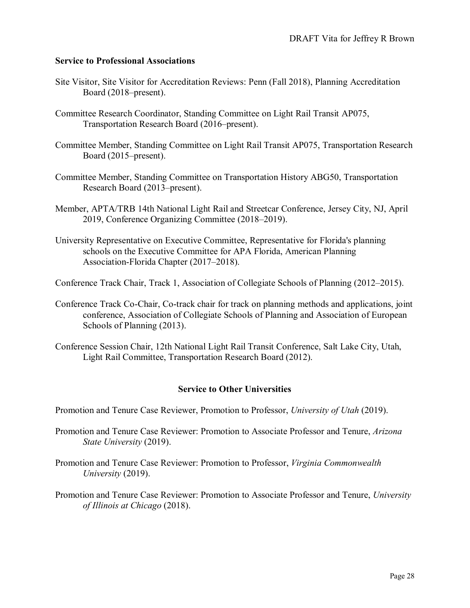#### **Service to Professional Associations**

- Site Visitor, Site Visitor for Accreditation Reviews: Penn (Fall 2018), Planning Accreditation Board (2018–present).
- Committee Research Coordinator, Standing Committee on Light Rail Transit AP075, Transportation Research Board (2016–present).
- Committee Member, Standing Committee on Light Rail Transit AP075, Transportation Research Board (2015–present).
- Committee Member, Standing Committee on Transportation History ABG50, Transportation Research Board (2013–present).
- Member, APTA/TRB 14th National Light Rail and Streetcar Conference, Jersey City, NJ, April 2019, Conference Organizing Committee (2018–2019).
- University Representative on Executive Committee, Representative for Florida's planning schools on the Executive Committee for APA Florida, American Planning Association-Florida Chapter (2017–2018).
- Conference Track Chair, Track 1, Association of Collegiate Schools of Planning (2012–2015).
- Conference Track Co-Chair, Co-track chair for track on planning methods and applications, joint conference, Association of Collegiate Schools of Planning and Association of European Schools of Planning (2013).
- Conference Session Chair, 12th National Light Rail Transit Conference, Salt Lake City, Utah, Light Rail Committee, Transportation Research Board (2012).

#### **Service to Other Universities**

Promotion and Tenure Case Reviewer, Promotion to Professor, *University of Utah* (2019).

- Promotion and Tenure Case Reviewer: Promotion to Associate Professor and Tenure, *Arizona State University* (2019).
- Promotion and Tenure Case Reviewer: Promotion to Professor, *Virginia Commonwealth University* (2019).
- Promotion and Tenure Case Reviewer: Promotion to Associate Professor and Tenure, *University of Illinois at Chicago* (2018).